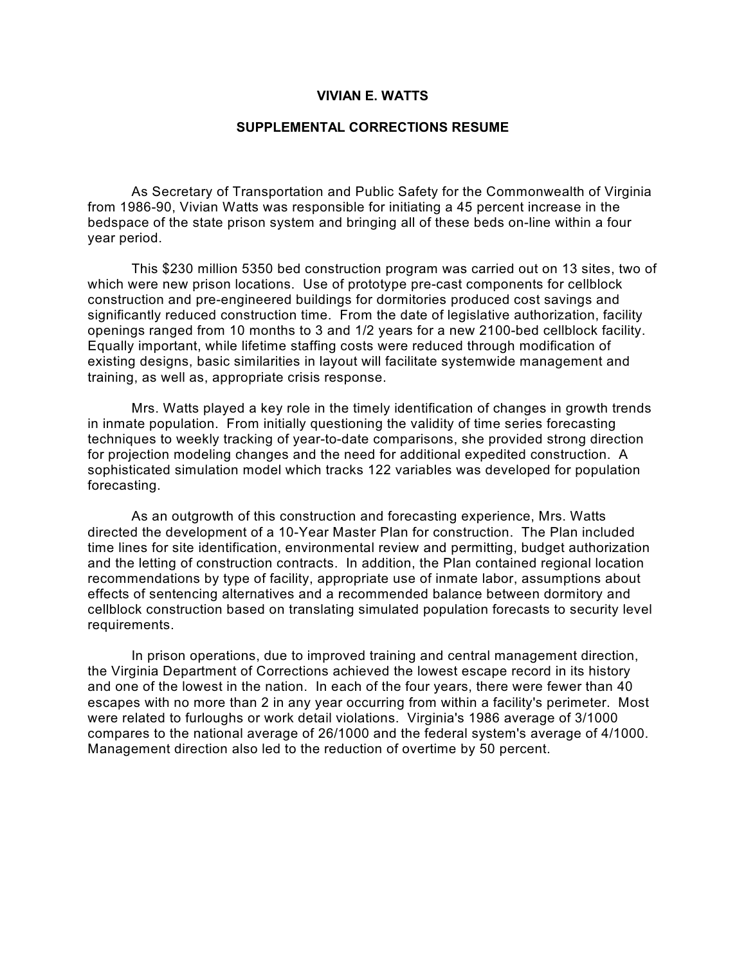## **VIVIAN E. WATTS**

## **SUPPLEMENTAL CORRECTIONS RESUME**

As Secretary of Transportation and Public Safety for the Commonwealth of Virginia from 1986-90, Vivian Watts was responsible for initiating a 45 percent increase in the bedspace of the state prison system and bringing all of these beds on-line within a four year period.

This \$230 million 5350 bed construction program was carried out on 13 sites, two of which were new prison locations. Use of prototype pre-cast components for cellblock construction and pre-engineered buildings for dormitories produced cost savings and significantly reduced construction time. From the date of legislative authorization, facility openings ranged from 10 months to 3 and 1/2 years for a new 2100-bed cellblock facility. Equally important, while lifetime staffing costs were reduced through modification of existing designs, basic similarities in layout will facilitate systemwide management and training, as well as, appropriate crisis response.

Mrs. Watts played a key role in the timely identification of changes in growth trends in inmate population. From initially questioning the validity of time series forecasting techniques to weekly tracking of year-to-date comparisons, she provided strong direction for projection modeling changes and the need for additional expedited construction. A sophisticated simulation model which tracks 122 variables was developed for population forecasting.

As an outgrowth of this construction and forecasting experience, Mrs. Watts directed the development of a 10-Year Master Plan for construction. The Plan included time lines for site identification, environmental review and permitting, budget authorization and the letting of construction contracts. In addition, the Plan contained regional location recommendations by type of facility, appropriate use of inmate labor, assumptions about effects of sentencing alternatives and a recommended balance between dormitory and cellblock construction based on translating simulated population forecasts to security level requirements.

In prison operations, due to improved training and central management direction, the Virginia Department of Corrections achieved the lowest escape record in its history and one of the lowest in the nation. In each of the four years, there were fewer than 40 escapes with no more than 2 in any year occurring from within a facility's perimeter. Most were related to furloughs or work detail violations. Virginia's 1986 average of 3/1000 compares to the national average of 26/1000 and the federal system's average of 4/1000. Management direction also led to the reduction of overtime by 50 percent.